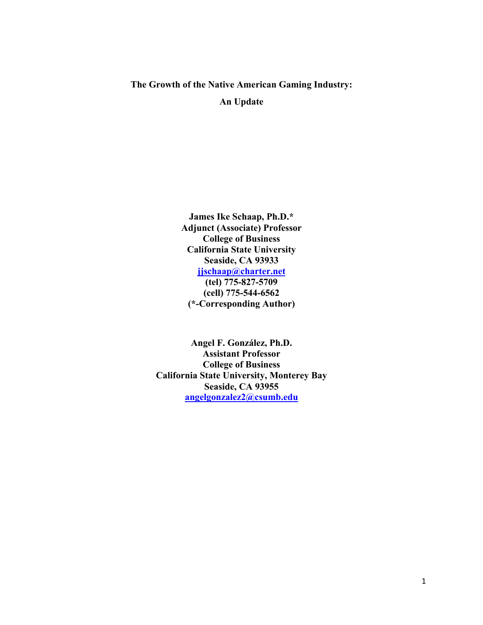# **The Growth of the Native American Gaming Industry: An Update**

**James Ike Schaap, Ph.D.\* Adjunct (Associate) Professor College of Business California State University Seaside, CA 93933 jjschaap@charter.net (tel) 775-827-5709 (cell) 775-544-6562 (\*-Corresponding Author)**

**Angel F. González, Ph.D. Assistant Professor College of Business California State University, Monterey Bay Seaside, CA 93955 angelgonzalez2@csumb.edu**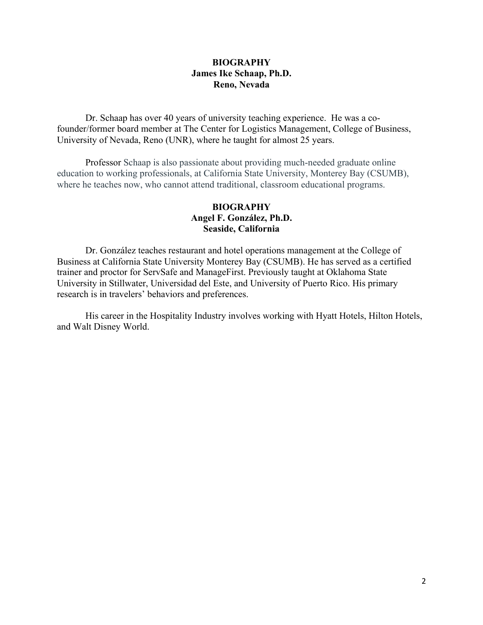# **BIOGRAPHY James Ike Schaap, Ph.D. Reno, Nevada**

Dr. Schaap has over 40 years of university teaching experience. He was a cofounder/former board member at The Center for Logistics Management, College of Business, University of Nevada, Reno (UNR), where he taught for almost 25 years.

Professor Schaap is also passionate about providing much-needed graduate online education to working professionals, at California State University, Monterey Bay (CSUMB), where he teaches now, who cannot attend traditional, classroom educational programs.

# **BIOGRAPHY Angel F. González, Ph.D. Seaside, California**

Dr. González teaches restaurant and hotel operations management at the College of Business at California State University Monterey Bay (CSUMB). He has served as a certified trainer and proctor for ServSafe and ManageFirst. Previously taught at Oklahoma State University in Stillwater, Universidad del Este, and University of Puerto Rico. His primary research is in travelers' behaviors and preferences.

His career in the Hospitality Industry involves working with Hyatt Hotels, Hilton Hotels, and Walt Disney World.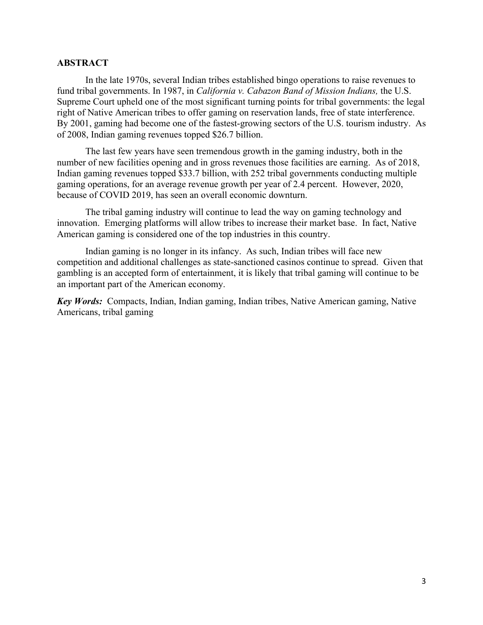#### **ABSTRACT**

In the late 1970s, several Indian tribes established bingo operations to raise revenues to fund tribal governments. In 1987, in *California v. Cabazon Band of Mission Indians,* the U.S. Supreme Court upheld one of the most significant turning points for tribal governments: the legal right of Native American tribes to offer gaming on reservation lands, free of state interference. By 2001, gaming had become one of the fastest-growing sectors of the U.S. tourism industry. As of 2008, Indian gaming revenues topped \$26.7 billion.

The last few years have seen tremendous growth in the gaming industry, both in the number of new facilities opening and in gross revenues those facilities are earning. As of 2018, Indian gaming revenues topped \$33.7 billion, with 252 tribal governments conducting multiple gaming operations, for an average revenue growth per year of 2.4 percent. However, 2020, because of COVID 2019, has seen an overall economic downturn.

The tribal gaming industry will continue to lead the way on gaming technology and innovation. Emerging platforms will allow tribes to increase their market base. In fact, Native American gaming is considered one of the top industries in this country.

Indian gaming is no longer in its infancy. As such, Indian tribes will face new competition and additional challenges as state-sanctioned casinos continue to spread. Given that gambling is an accepted form of entertainment, it is likely that tribal gaming will continue to be an important part of the American economy.

*Key Words:* Compacts, Indian, Indian gaming, Indian tribes, Native American gaming, Native Americans, tribal gaming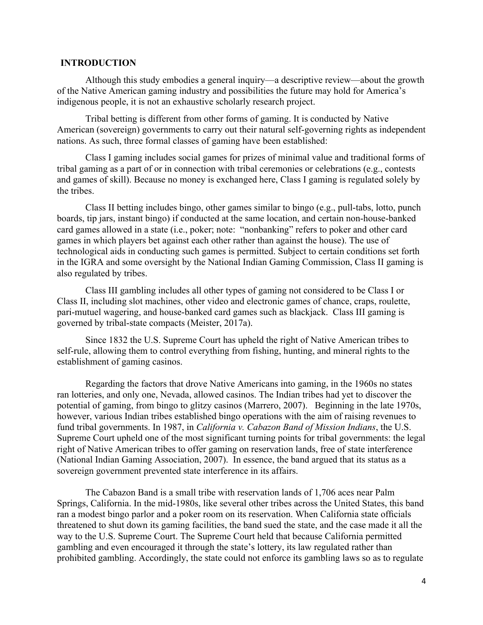#### **INTRODUCTION**

Although this study embodies a general inquiry—a descriptive review—about the growth of the Native American gaming industry and possibilities the future may hold for America's indigenous people, it is not an exhaustive scholarly research project.

Tribal betting is different from other forms of gaming. It is conducted by Native American (sovereign) governments to carry out their natural self-governing rights as independent nations. As such, three formal classes of gaming have been established:

Class I gaming includes social games for prizes of minimal value and traditional forms of tribal gaming as a part of or in connection with tribal ceremonies or celebrations (e.g., contests and games of skill). Because no money is exchanged here, Class I gaming is regulated solely by the tribes.

Class II betting includes bingo, other games similar to bingo (e.g., pull-tabs, lotto, punch boards, tip jars, instant bingo) if conducted at the same location, and certain non-house-banked card games allowed in a state (i.e., poker; note: "nonbanking" refers to poker and other card games in which players bet against each other rather than against the house). The use of technological aids in conducting such games is permitted. Subject to certain conditions set forth in the IGRA and some oversight by the National Indian Gaming Commission, Class II gaming is also regulated by tribes.

Class III gambling includes all other types of gaming not considered to be Class I or Class II, including slot machines, other video and electronic games of chance, craps, roulette, pari-mutuel wagering, and house-banked card games such as blackjack. Class III gaming is governed by tribal-state compacts (Meister, 2017a).

Since 1832 the U.S. Supreme Court has upheld the right of Native American tribes to self-rule, allowing them to control everything from fishing, hunting, and mineral rights to the establishment of gaming casinos.

Regarding the factors that drove Native Americans into gaming, in the 1960s no states ran lotteries, and only one, Nevada, allowed casinos. The Indian tribes had yet to discover the potential of gaming, from bingo to glitzy casinos (Marrero, 2007). Beginning in the late 1970s, however, various Indian tribes established bingo operations with the aim of raising revenues to fund tribal governments. In 1987, in *California v. Cabazon Band of Mission Indians*, the U.S. Supreme Court upheld one of the most significant turning points for tribal governments: the legal right of Native American tribes to offer gaming on reservation lands, free of state interference (National Indian Gaming Association, 2007). In essence, the band argued that its status as a sovereign government prevented state interference in its affairs.

The Cabazon Band is a small tribe with reservation lands of 1,706 aces near Palm Springs, California. In the mid-1980s, like several other tribes across the United States, this band ran a modest bingo parlor and a poker room on its reservation. When California state officials threatened to shut down its gaming facilities, the band sued the state, and the case made it all the way to the U.S. Supreme Court. The Supreme Court held that because California permitted gambling and even encouraged it through the state's lottery, its law regulated rather than prohibited gambling. Accordingly, the state could not enforce its gambling laws so as to regulate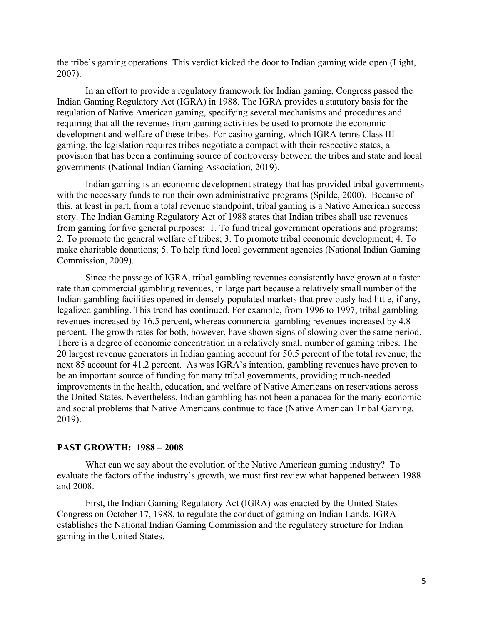the tribe's gaming operations. This verdict kicked the door to Indian gaming wide open (Light, 2007).

In an effort to provide a regulatory framework for Indian gaming, Congress passed the Indian Gaming Regulatory Act (IGRA) in 1988. The IGRA provides a statutory basis for the regulation of Native American gaming, specifying several mechanisms and procedures and requiring that all the revenues from gaming activities be used to promote the economic development and welfare of these tribes. For casino gaming, which IGRA terms Class III gaming, the legislation requires tribes negotiate a compact with their respective states, a provision that has been a continuing source of controversy between the tribes and state and local governments (National Indian Gaming Association, 2019).

Indian gaming is an economic development strategy that has provided tribal governments with the necessary funds to run their own administrative programs (Spilde, 2000). Because of this, at least in part, from a total revenue standpoint, tribal gaming is a Native American success story. The Indian Gaming Regulatory Act of 1988 states that Indian tribes shall use revenues from gaming for five general purposes: 1. To fund tribal government operations and programs; 2. To promote the general welfare of tribes; 3. To promote tribal economic development; 4. To make charitable donations; 5. To help fund local government agencies (National Indian Gaming Commission, 2009).

Since the passage of IGRA, tribal gambling revenues consistently have grown at a faster rate than commercial gambling revenues, in large part because a relatively small number of the Indian gambling facilities opened in densely populated markets that previously had little, if any, legalized gambling. This trend has continued. For example, from 1996 to 1997, tribal gambling revenues increased by 16.5 percent, whereas commercial gambling revenues increased by 4.8 percent. The growth rates for both, however, have shown signs of slowing over the same period. There is a degree of economic concentration in a relatively small number of gaming tribes. The 20 largest revenue generators in Indian gaming account for 50.5 percent of the total revenue; the next 85 account for 41.2 percent. As was IGRA's intention, gambling revenues have proven to be an important source of funding for many tribal governments, providing much-needed improvements in the health, education, and welfare of Native Americans on reservations across the United States. Nevertheless, Indian gambling has not been a panacea for the many economic and social problems that Native Americans continue to face (Native American Tribal Gaming, 2019).

## **PAST GROWTH: 1988 – 2008**

What can we say about the evolution of the Native American gaming industry? To evaluate the factors of the industry's growth, we must first review what happened between 1988 and 2008.

First, the Indian Gaming Regulatory Act (IGRA) was enacted by the United States Congress on October 17, 1988, to regulate the conduct of gaming on Indian Lands. IGRA establishes the National Indian Gaming Commission and the regulatory structure for Indian gaming in the United States.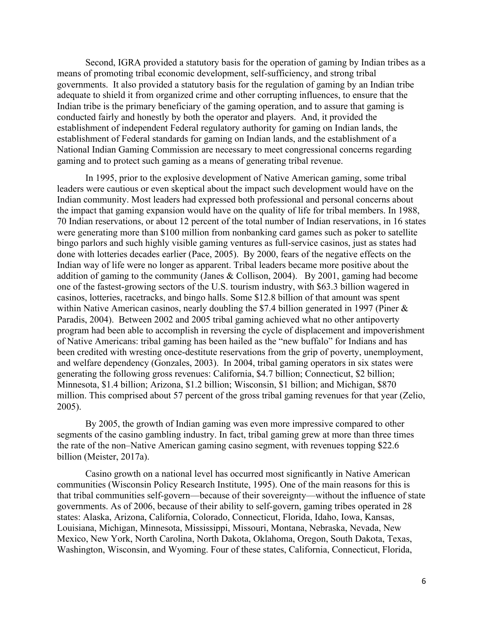Second, IGRA provided a statutory basis for the operation of gaming by Indian tribes as a means of promoting tribal economic development, self-sufficiency, and strong tribal governments. It also provided a statutory basis for the regulation of gaming by an Indian tribe adequate to shield it from organized crime and other corrupting influences, to ensure that the Indian tribe is the primary beneficiary of the gaming operation, and to assure that gaming is conducted fairly and honestly by both the operator and players. And, it provided the establishment of independent Federal regulatory authority for gaming on Indian lands, the establishment of Federal standards for gaming on Indian lands, and the establishment of a National Indian Gaming Commission are necessary to meet congressional concerns regarding gaming and to protect such gaming as a means of generating tribal revenue.

In 1995, prior to the explosive development of Native American gaming, some tribal leaders were cautious or even skeptical about the impact such development would have on the Indian community. Most leaders had expressed both professional and personal concerns about the impact that gaming expansion would have on the quality of life for tribal members. In 1988, 70 Indian reservations, or about 12 percent of the total number of Indian reservations, in 16 states were generating more than \$100 million from nonbanking card games such as poker to satellite bingo parlors and such highly visible gaming ventures as full-service casinos, just as states had done with lotteries decades earlier (Pace, 2005). By 2000, fears of the negative effects on the Indian way of life were no longer as apparent. Tribal leaders became more positive about the addition of gaming to the community (Janes & Collison, 2004). By 2001, gaming had become one of the fastest-growing sectors of the U.S. tourism industry, with \$63.3 billion wagered in casinos, lotteries, racetracks, and bingo halls. Some \$12.8 billion of that amount was spent within Native American casinos, nearly doubling the \$7.4 billion generated in 1997 (Piner & Paradis, 2004). Between 2002 and 2005 tribal gaming achieved what no other antipoverty program had been able to accomplish in reversing the cycle of displacement and impoverishment of Native Americans: tribal gaming has been hailed as the "new buffalo" for Indians and has been credited with wresting once-destitute reservations from the grip of poverty, unemployment, and welfare dependency (Gonzales, 2003). In 2004, tribal gaming operators in six states were generating the following gross revenues: California, \$4.7 billion; Connecticut, \$2 billion; Minnesota, \$1.4 billion; Arizona, \$1.2 billion; Wisconsin, \$1 billion; and Michigan, \$870 million. This comprised about 57 percent of the gross tribal gaming revenues for that year (Zelio, 2005).

By 2005, the growth of Indian gaming was even more impressive compared to other segments of the casino gambling industry. In fact, tribal gaming grew at more than three times the rate of the non–Native American gaming casino segment, with revenues topping \$22.6 billion (Meister, 2017a).

Casino growth on a national level has occurred most significantly in Native American communities (Wisconsin Policy Research Institute, 1995). One of the main reasons for this is that tribal communities self-govern—because of their sovereignty—without the influence of state governments. As of 2006, because of their ability to self-govern, gaming tribes operated in 28 states: Alaska, Arizona, California, Colorado, Connecticut, Florida, Idaho, Iowa, Kansas, Louisiana, Michigan, Minnesota, Mississippi, Missouri, Montana, Nebraska, Nevada, New Mexico, New York, North Carolina, North Dakota, Oklahoma, Oregon, South Dakota, Texas, Washington, Wisconsin, and Wyoming. Four of these states, California, Connecticut, Florida,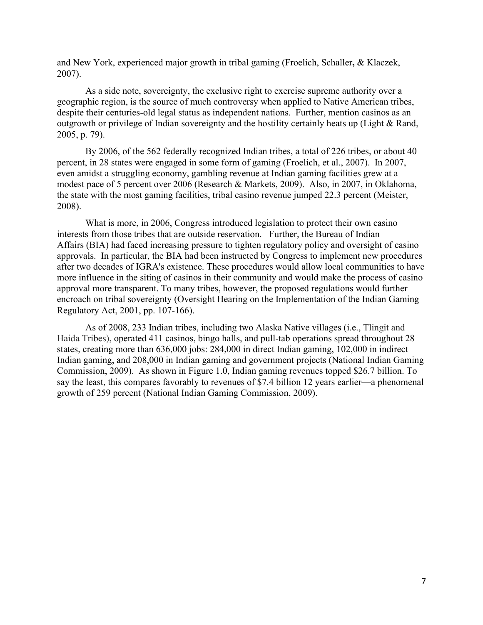and New York, experienced major growth in tribal gaming (Froelich, Schaller**,** & Klaczek, 2007).

As a side note, sovereignty, the exclusive right to exercise supreme authority over a geographic region, is the source of much controversy when applied to Native American tribes, despite their centuries-old legal status as independent nations. Further, mention casinos as an outgrowth or privilege of Indian sovereignty and the hostility certainly heats up (Light & Rand, 2005, p. 79).

By 2006, of the 562 federally recognized Indian tribes, a total of 226 tribes, or about 40 percent, in 28 states were engaged in some form of gaming (Froelich, et al., 2007). In 2007, even amidst a struggling economy, gambling revenue at Indian gaming facilities grew at a modest pace of 5 percent over 2006 (Research & Markets, 2009). Also, in 2007, in Oklahoma, the state with the most gaming facilities, tribal casino revenue jumped 22.3 percent (Meister, 2008).

What is more, in 2006, Congress introduced legislation to protect their own casino interests from those tribes that are outside reservation. Further, the Bureau of Indian Affairs (BIA) had faced increasing pressure to tighten regulatory policy and oversight of casino approvals. In particular, the BIA had been instructed by Congress to implement new procedures after two decades of IGRA's existence. These procedures would allow local communities to have more influence in the siting of casinos in their community and would make the process of casino approval more transparent. To many tribes, however, the proposed regulations would further encroach on tribal sovereignty (Oversight Hearing on the Implementation of the Indian Gaming Regulatory Act, 2001, pp. 107-166).

As of 2008, 233 Indian tribes, including two Alaska Native villages (i.e., Tlingit and Haida Tribes), operated 411 casinos, bingo halls, and pull-tab operations spread throughout 28 states, creating more than 636,000 jobs: 284,000 in direct Indian gaming, 102,000 in indirect Indian gaming, and 208,000 in Indian gaming and government projects (National Indian Gaming Commission, 2009). As shown in Figure 1.0, Indian gaming revenues topped \$26.7 billion. To say the least, this compares favorably to revenues of \$7.4 billion 12 years earlier—a phenomenal growth of 259 percent (National Indian Gaming Commission, 2009).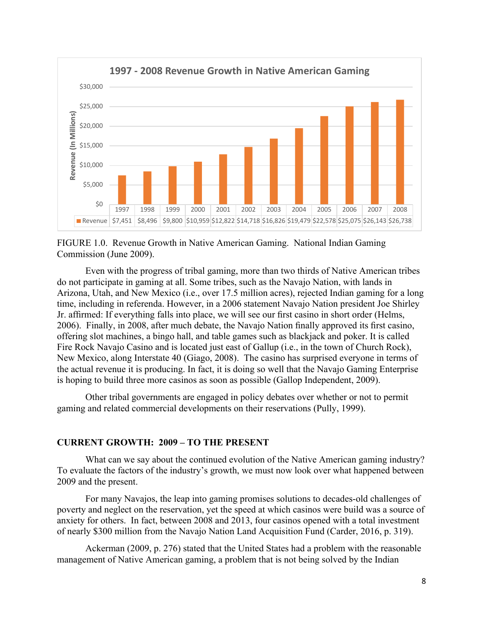

FIGURE 1.0. Revenue Growth in Native American Gaming. National Indian Gaming Commission (June 2009).

Even with the progress of tribal gaming, more than two thirds of Native American tribes do not participate in gaming at all. Some tribes, such as the Navajo Nation, with lands in Arizona, Utah, and New Mexico (i.e., over 17.5 million acres), rejected Indian gaming for a long time, including in referenda. However, in a 2006 statement Navajo Nation president Joe Shirley Jr. affirmed: If everything falls into place, we will see our first casino in short order (Helms, 2006). Finally, in 2008, after much debate, the Navajo Nation finally approved its first casino, offering slot machines, a bingo hall, and table games such as blackjack and poker. It is called Fire Rock Navajo Casino and is located just east of Gallup (i.e., in the town of Church Rock), New Mexico, along Interstate 40 (Giago, 2008). The casino has surprised everyone in terms of the actual revenue it is producing. In fact, it is doing so well that the Navajo Gaming Enterprise is hoping to build three more casinos as soon as possible (Gallop Independent, 2009).

Other tribal governments are engaged in policy debates over whether or not to permit gaming and related commercial developments on their reservations (Pully, 1999).

# **CURRENT GROWTH: 2009 – TO THE PRESENT**

What can we say about the continued evolution of the Native American gaming industry? To evaluate the factors of the industry's growth, we must now look over what happened between 2009 and the present.

For many Navajos, the leap into gaming promises solutions to decades-old challenges of poverty and neglect on the reservation, yet the speed at which casinos were build was a source of anxiety for others. In fact, between 2008 and 2013, four casinos opened with a total investment of nearly \$300 million from the Navajo Nation Land Acquisition Fund (Carder, 2016, p. 319).

Ackerman (2009, p. 276) stated that the United States had a problem with the reasonable management of Native American gaming, a problem that is not being solved by the Indian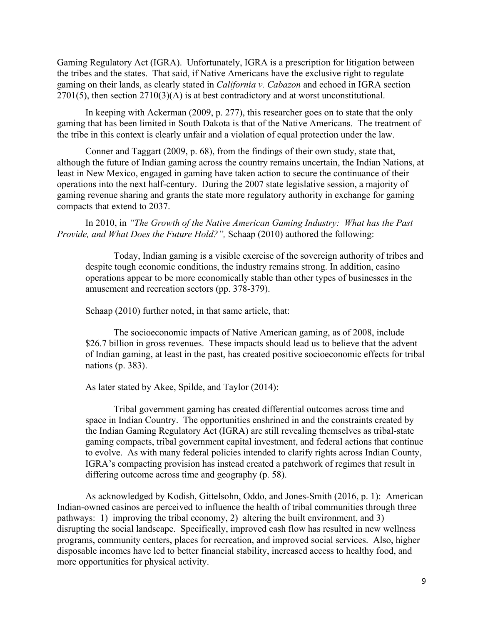Gaming Regulatory Act (IGRA). Unfortunately, IGRA is a prescription for litigation between the tribes and the states. That said, if Native Americans have the exclusive right to regulate gaming on their lands, as clearly stated in *California v. Cabazon* and echoed in IGRA section  $2701(5)$ , then section  $2710(3)(A)$  is at best contradictory and at worst unconstitutional.

In keeping with Ackerman (2009, p. 277), this researcher goes on to state that the only gaming that has been limited in South Dakota is that of the Native Americans. The treatment of the tribe in this context is clearly unfair and a violation of equal protection under the law.

Conner and Taggart (2009, p. 68), from the findings of their own study, state that, although the future of Indian gaming across the country remains uncertain, the Indian Nations, at least in New Mexico, engaged in gaming have taken action to secure the continuance of their operations into the next half-century. During the 2007 state legislative session, a majority of gaming revenue sharing and grants the state more regulatory authority in exchange for gaming compacts that extend to 2037.

In 2010, in *"The Growth of the Native American Gaming Industry: What has the Past Provide, and What Does the Future Hold?",* Schaap (2010) authored the following:

Today, Indian gaming is a visible exercise of the sovereign authority of tribes and despite tough economic conditions, the industry remains strong. In addition, casino operations appear to be more economically stable than other types of businesses in the amusement and recreation sectors (pp. 378-379).

Schaap (2010) further noted, in that same article, that:

The socioeconomic impacts of Native American gaming, as of 2008, include \$26.7 billion in gross revenues. These impacts should lead us to believe that the advent of Indian gaming, at least in the past, has created positive socioeconomic effects for tribal nations (p. 383).

As later stated by Akee, Spilde, and Taylor (2014):

Tribal government gaming has created differential outcomes across time and space in Indian Country. The opportunities enshrined in and the constraints created by the Indian Gaming Regulatory Act (IGRA) are still revealing themselves as tribal-state gaming compacts, tribal government capital investment, and federal actions that continue to evolve. As with many federal policies intended to clarify rights across Indian County, IGRA's compacting provision has instead created a patchwork of regimes that result in differing outcome across time and geography (p. 58).

As acknowledged by Kodish, Gittelsohn, Oddo, and Jones-Smith (2016, p. 1): American Indian-owned casinos are perceived to influence the health of tribal communities through three pathways: 1) improving the tribal economy, 2) altering the built environment, and 3) disrupting the social landscape. Specifically, improved cash flow has resulted in new wellness programs, community centers, places for recreation, and improved social services. Also, higher disposable incomes have led to better financial stability, increased access to healthy food, and more opportunities for physical activity.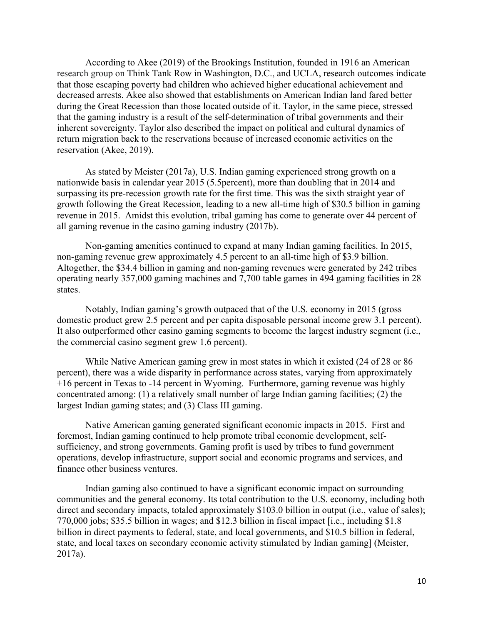According to Akee (2019) of the Brookings Institution, founded in 1916 an American research group on Think Tank Row in Washington, D.C., and UCLA, research outcomes indicate that those escaping poverty had children who achieved higher educational achievement and decreased arrests. Akee also showed that establishments on American Indian land fared better during the Great Recession than those located outside of it. Taylor, in the same piece, stressed that the gaming industry is a result of the self-determination of tribal governments and their inherent sovereignty. Taylor also described the impact on political and cultural dynamics of return migration back to the reservations because of increased economic activities on the reservation (Akee, 2019).

As stated by Meister (2017a), U.S. Indian gaming experienced strong growth on a nationwide basis in calendar year 2015 (5.5percent), more than doubling that in 2014 and surpassing its pre-recession growth rate for the first time. This was the sixth straight year of growth following the Great Recession, leading to a new all-time high of \$30.5 billion in gaming revenue in 2015. Amidst this evolution, tribal gaming has come to generate over 44 percent of all gaming revenue in the casino gaming industry (2017b).

Non-gaming amenities continued to expand at many Indian gaming facilities. In 2015, non-gaming revenue grew approximately 4.5 percent to an all-time high of \$3.9 billion. Altogether, the \$34.4 billion in gaming and non-gaming revenues were generated by 242 tribes operating nearly 357,000 gaming machines and 7,700 table games in 494 gaming facilities in 28 states.

Notably, Indian gaming's growth outpaced that of the U.S. economy in 2015 (gross domestic product grew 2.5 percent and per capita disposable personal income grew 3.1 percent). It also outperformed other casino gaming segments to become the largest industry segment (i.e., the commercial casino segment grew 1.6 percent).

While Native American gaming grew in most states in which it existed (24 of 28 or 86 percent), there was a wide disparity in performance across states, varying from approximately +16 percent in Texas to -14 percent in Wyoming. Furthermore, gaming revenue was highly concentrated among: (1) a relatively small number of large Indian gaming facilities; (2) the largest Indian gaming states; and (3) Class III gaming.

Native American gaming generated significant economic impacts in 2015. First and foremost, Indian gaming continued to help promote tribal economic development, selfsufficiency, and strong governments. Gaming profit is used by tribes to fund government operations, develop infrastructure, support social and economic programs and services, and finance other business ventures.

Indian gaming also continued to have a significant economic impact on surrounding communities and the general economy. Its total contribution to the U.S. economy, including both direct and secondary impacts, totaled approximately \$103.0 billion in output (i.e., value of sales); 770,000 jobs; \$35.5 billion in wages; and \$12.3 billion in fiscal impact [i.e., including \$1.8 billion in direct payments to federal, state, and local governments, and \$10.5 billion in federal, state, and local taxes on secondary economic activity stimulated by Indian gaming] (Meister, 2017a).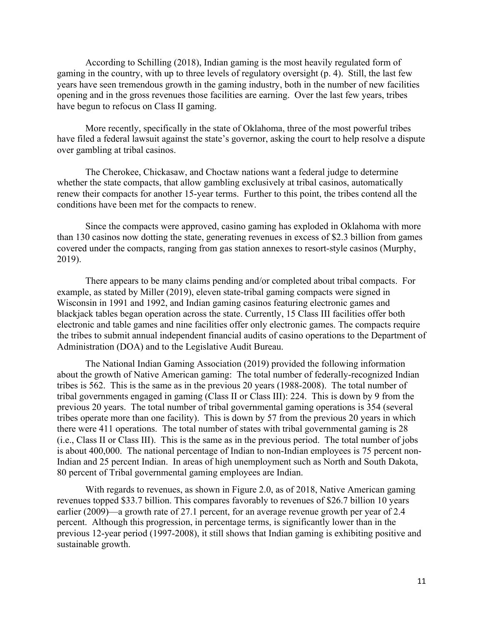According to Schilling (2018), Indian gaming is the most heavily regulated form of gaming in the country, with up to three levels of regulatory oversight (p. 4). Still, the last few years have seen tremendous growth in the gaming industry, both in the number of new facilities opening and in the gross revenues those facilities are earning. Over the last few years, tribes have begun to refocus on Class II gaming.

More recently, specifically in the state of Oklahoma, three of the most powerful tribes have filed a federal lawsuit against the state's governor, asking the court to help resolve a dispute over gambling at tribal casinos.

The Cherokee, Chickasaw, and Choctaw nations want a federal judge to determine whether the state compacts, that allow gambling exclusively at tribal casinos, automatically renew their compacts for another 15-year terms. Further to this point, the tribes contend all the conditions have been met for the compacts to renew.

Since the compacts were approved, casino gaming has exploded in Oklahoma with more than 130 casinos now dotting the state, generating revenues in excess of \$2.3 billion from games covered under the compacts, ranging from gas station annexes to resort-style casinos (Murphy, 2019).

There appears to be many claims pending and/or completed about tribal compacts. For example, as stated by Miller (2019), eleven state-tribal gaming compacts were signed in Wisconsin in 1991 and 1992, and Indian gaming casinos featuring electronic games and blackjack tables began operation across the state. Currently, 15 Class III facilities offer both electronic and table games and nine facilities offer only electronic games. The compacts require the tribes to submit annual independent financial audits of casino operations to the Department of Administration (DOA) and to the Legislative Audit Bureau.

The National Indian Gaming Association (2019) provided the following information about the growth of Native American gaming: The total number of federally-recognized Indian tribes is 562. This is the same as in the previous 20 years (1988-2008). The total number of tribal governments engaged in gaming (Class II or Class III): 224. This is down by 9 from the previous 20 years. The total number of tribal governmental gaming operations is 354 (several tribes operate more than one facility). This is down by 57 from the previous 20 years in which there were 411 operations. The total number of states with tribal governmental gaming is 28 (i.e., Class II or Class III). This is the same as in the previous period. The total number of jobs is about 400,000. The national percentage of Indian to non-Indian employees is 75 percent non-Indian and 25 percent Indian. In areas of high unemployment such as North and South Dakota, 80 percent of Tribal governmental gaming employees are Indian.

With regards to revenues, as shown in Figure 2.0, as of 2018, Native American gaming revenues topped \$33.7 billion. This compares favorably to revenues of \$26.7 billion 10 years earlier (2009)—a growth rate of 27.1 percent, for an average revenue growth per year of 2.4 percent. Although this progression, in percentage terms, is significantly lower than in the previous 12-year period (1997-2008), it still shows that Indian gaming is exhibiting positive and sustainable growth.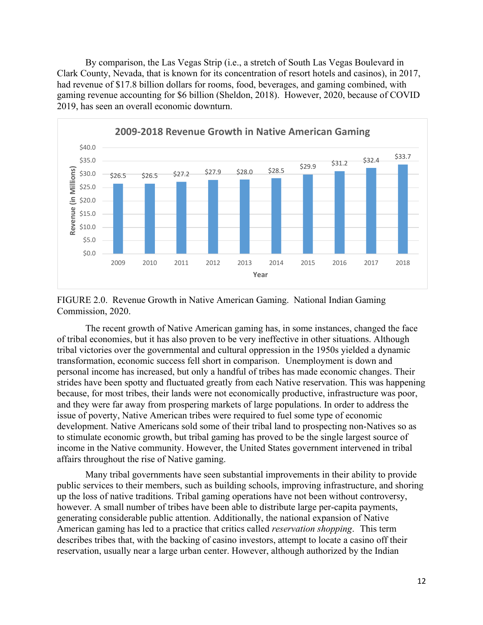By comparison, the Las Vegas Strip (i.e., a stretch of South Las Vegas Boulevard in Clark County, Nevada, that is known for its concentration of resort hotels and casinos), in 2017, had revenue of \$17.8 billion dollars for rooms, food, beverages, and gaming combined, with gaming revenue accounting for \$6 billion (Sheldon, 2018). However, 2020, because of COVID 2019, has seen an overall economic downturn.



FIGURE 2.0. Revenue Growth in Native American Gaming. National Indian Gaming Commission, 2020.

The recent growth of Native American gaming has, in some instances, changed the face of tribal economies, but it has also proven to be very ineffective in other situations. Although tribal victories over the governmental and cultural oppression in the 1950s yielded a dynamic transformation, economic success fell short in comparison. Unemployment is down and personal income has increased, but only a handful of tribes has made economic changes. Their strides have been spotty and fluctuated greatly from each Native reservation. This was happening because, for most tribes, their lands were not economically productive, infrastructure was poor, and they were far away from prospering markets of large populations. In order to address the issue of poverty, Native American tribes were required to fuel some type of economic development. Native Americans sold some of their tribal land to prospecting non-Natives so as to stimulate economic growth, but tribal gaming has proved to be the single largest source of income in the Native community. However, the United States government intervened in tribal affairs throughout the rise of Native gaming.

Many tribal governments have seen substantial improvements in their ability to provide public services to their members, such as building schools, improving infrastructure, and shoring up the loss of native traditions. Tribal gaming operations have not been without controversy, however. A small number of tribes have been able to distribute large per-capita payments, generating considerable public attention. Additionally, the national expansion of Native American gaming has led to a practice that critics called *reservation shopping*. This term describes tribes that, with the backing of casino investors, attempt to locate a casino off their reservation, usually near a large urban center. However, although authorized by the Indian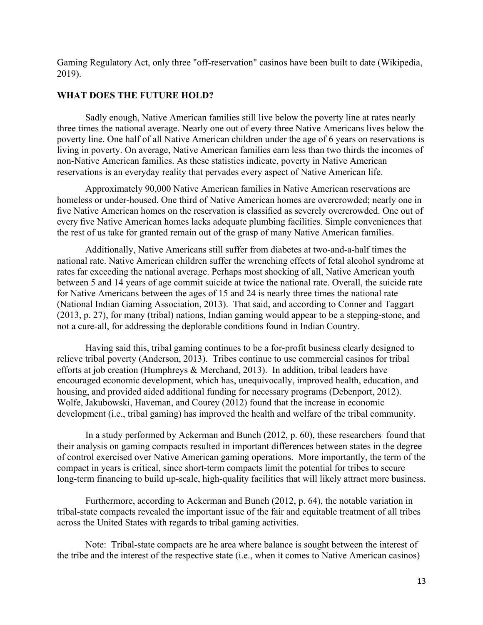Gaming Regulatory Act, only three "off-reservation" casinos have been built to date (Wikipedia, 2019).

## **WHAT DOES THE FUTURE HOLD?**

Sadly enough, Native American families still live below the poverty line at rates nearly three times the national average. Nearly one out of every three Native Americans lives below the poverty line. One half of all Native American children under the age of 6 years on reservations is living in poverty. On average, Native American families earn less than two thirds the incomes of non-Native American families. As these statistics indicate, poverty in Native American reservations is an everyday reality that pervades every aspect of Native American life.

Approximately 90,000 Native American families in Native American reservations are homeless or under-housed. One third of Native American homes are overcrowded; nearly one in five Native American homes on the reservation is classified as severely overcrowded. One out of every five Native American homes lacks adequate plumbing facilities. Simple conveniences that the rest of us take for granted remain out of the grasp of many Native American families.

Additionally, Native Americans still suffer from diabetes at two-and-a-half times the national rate. Native American children suffer the wrenching effects of fetal alcohol syndrome at rates far exceeding the national average. Perhaps most shocking of all, Native American youth between 5 and 14 years of age commit suicide at twice the national rate. Overall, the suicide rate for Native Americans between the ages of 15 and 24 is nearly three times the national rate (National Indian Gaming Association, 2013). That said, and according to Conner and Taggart (2013, p. 27), for many (tribal) nations, Indian gaming would appear to be a stepping-stone, and not a cure-all, for addressing the deplorable conditions found in Indian Country.

Having said this, tribal gaming continues to be a for-profit business clearly designed to relieve tribal poverty (Anderson, 2013). Tribes continue to use commercial casinos for tribal efforts at job creation (Humphreys & Merchand, 2013). In addition, tribal leaders have encouraged economic development, which has, unequivocally, improved health, education, and housing, and provided aided additional funding for necessary programs (Debenport, 2012). Wolfe, Jakubowski, Haveman, and Courey (2012) found that the increase in economic development (i.e., tribal gaming) has improved the health and welfare of the tribal community.

In a study performed by Ackerman and Bunch (2012, p. 60), these researchers found that their analysis on gaming compacts resulted in important differences between states in the degree of control exercised over Native American gaming operations. More importantly, the term of the compact in years is critical, since short-term compacts limit the potential for tribes to secure long-term financing to build up-scale, high-quality facilities that will likely attract more business.

Furthermore, according to Ackerman and Bunch (2012, p. 64), the notable variation in tribal-state compacts revealed the important issue of the fair and equitable treatment of all tribes across the United States with regards to tribal gaming activities.

Note: Tribal-state compacts are he area where balance is sought between the interest of the tribe and the interest of the respective state (i.e., when it comes to Native American casinos)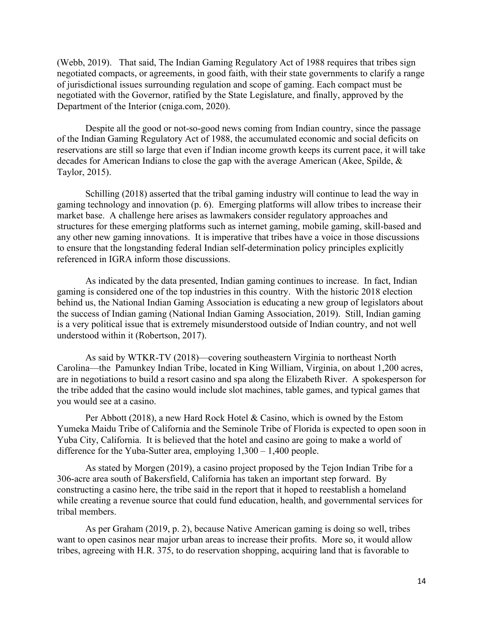(Webb, 2019). That said, The Indian Gaming Regulatory Act of 1988 requires that tribes sign negotiated compacts, or agreements, in good faith, with their state governments to clarify a range of jurisdictional issues surrounding regulation and scope of gaming. Each compact must be negotiated with the Governor, ratified by the State Legislature, and finally, approved by the Department of the Interior (cniga.com, 2020).

Despite all the good or not-so-good news coming from Indian country, since the passage of the Indian Gaming Regulatory Act of 1988, the accumulated economic and social deficits on reservations are still so large that even if Indian income growth keeps its current pace, it will take decades for American Indians to close the gap with the average American (Akee, Spilde, & Taylor, 2015).

Schilling (2018) asserted that the tribal gaming industry will continue to lead the way in gaming technology and innovation (p. 6). Emerging platforms will allow tribes to increase their market base. A challenge here arises as lawmakers consider regulatory approaches and structures for these emerging platforms such as internet gaming, mobile gaming, skill-based and any other new gaming innovations. It is imperative that tribes have a voice in those discussions to ensure that the longstanding federal Indian self-determination policy principles explicitly referenced in IGRA inform those discussions.

As indicated by the data presented, Indian gaming continues to increase. In fact, Indian gaming is considered one of the top industries in this country. With the historic 2018 election behind us, the National Indian Gaming Association is educating a new group of legislators about the success of Indian gaming (National Indian Gaming Association, 2019). Still, Indian gaming is a very political issue that is extremely misunderstood outside of Indian country, and not well understood within it (Robertson, 2017).

As said by WTKR-TV (2018)—covering southeastern Virginia to northeast North Carolina—the Pamunkey Indian Tribe, located in King William, Virginia, on about 1,200 acres, are in negotiations to build a resort casino and spa along the Elizabeth River. A spokesperson for the tribe added that the casino would include slot machines, table games, and typical games that you would see at a casino.

Per Abbott (2018), a new Hard Rock Hotel & Casino, which is owned by the Estom Yumeka Maidu Tribe of California and the Seminole Tribe of Florida is expected to open soon in Yuba City, California. It is believed that the hotel and casino are going to make a world of difference for the Yuba-Sutter area, employing 1,300 – 1,400 people.

As stated by Morgen (2019), a casino project proposed by the Tejon Indian Tribe for a 306-acre area south of Bakersfield, California has taken an important step forward. By constructing a casino here, the tribe said in the report that it hoped to reestablish a homeland while creating a revenue source that could fund education, health, and governmental services for tribal members.

As per Graham (2019, p. 2), because Native American gaming is doing so well, tribes want to open casinos near major urban areas to increase their profits. More so, it would allow tribes, agreeing with H.R. 375, to do reservation shopping, acquiring land that is favorable to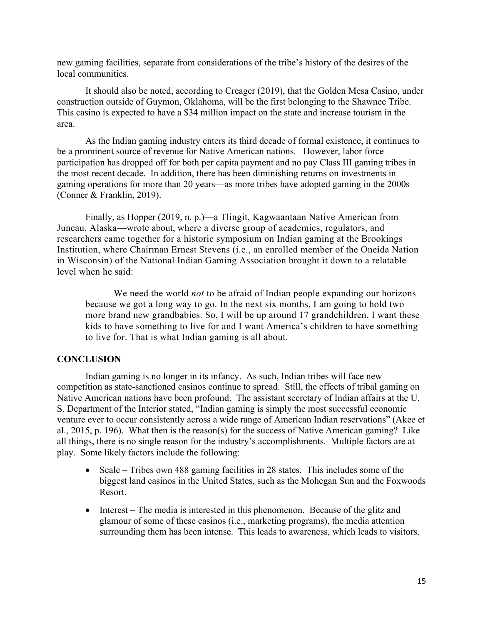new gaming facilities, separate from considerations of the tribe's history of the desires of the local communities.

It should also be noted, according to Creager (2019), that the Golden Mesa Casino, under construction outside of Guymon, Oklahoma, will be the first belonging to the Shawnee Tribe. This casino is expected to have a \$34 million impact on the state and increase tourism in the area.

As the Indian gaming industry enters its third decade of formal existence, it continues to be a prominent source of revenue for Native American nations. However, labor force participation has dropped off for both per capita payment and no pay Class III gaming tribes in the most recent decade. In addition, there has been diminishing returns on investments in gaming operations for more than 20 years—as more tribes have adopted gaming in the 2000s (Conner & Franklin, 2019).

Finally, as Hopper (2019, n. p.)—a Tlingit, Kagwaantaan Native American from Juneau, Alaska—wrote about, where a diverse group of academics, regulators, and researchers came together for a historic symposium on Indian gaming at the Brookings Institution, where Chairman Ernest Stevens (i.e., an enrolled member of the Oneida Nation in Wisconsin) of the National Indian Gaming Association brought it down to a relatable level when he said:

We need the world *not* to be afraid of Indian people expanding our horizons because we got a long way to go. In the next six months, I am going to hold two more brand new grandbabies. So, I will be up around 17 grandchildren. I want these kids to have something to live for and I want America's children to have something to live for. That is what Indian gaming is all about.

#### **CONCLUSION**

Indian gaming is no longer in its infancy. As such, Indian tribes will face new competition as state-sanctioned casinos continue to spread. Still, the effects of tribal gaming on Native American nations have been profound. The assistant secretary of Indian affairs at the U. S. Department of the Interior stated, "Indian gaming is simply the most successful economic venture ever to occur consistently across a wide range of American Indian reservations" (Akee et al., 2015, p. 196). What then is the reason(s) for the success of Native American gaming? Like all things, there is no single reason for the industry's accomplishments. Multiple factors are at play. Some likely factors include the following:

- Scale Tribes own 488 gaming facilities in 28 states. This includes some of the biggest land casinos in the United States, such as the Mohegan Sun and the Foxwoods Resort.
- Interest The media is interested in this phenomenon. Because of the glitz and glamour of some of these casinos (i.e., marketing programs), the media attention surrounding them has been intense. This leads to awareness, which leads to visitors.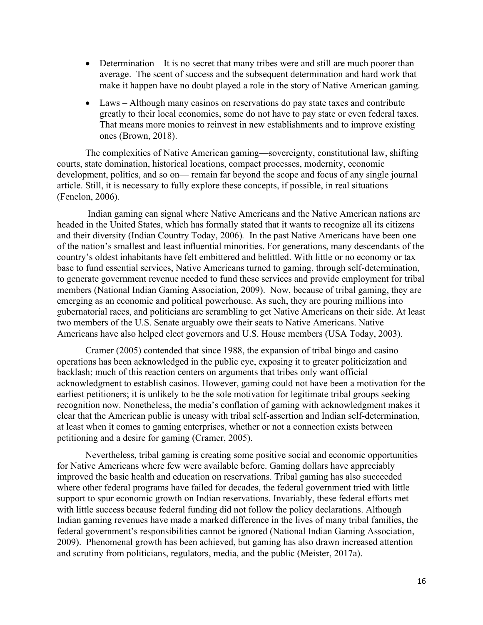- Determination It is no secret that many tribes were and still are much poorer than average. The scent of success and the subsequent determination and hard work that make it happen have no doubt played a role in the story of Native American gaming.
- Laws Although many casinos on reservations do pay state taxes and contribute greatly to their local economies, some do not have to pay state or even federal taxes. That means more monies to reinvest in new establishments and to improve existing ones (Brown, 2018).

The complexities of Native American gaming—sovereignty, constitutional law, shifting courts, state domination, historical locations, compact processes, modernity, economic development, politics, and so on— remain far beyond the scope and focus of any single journal article. Still, it is necessary to fully explore these concepts, if possible, in real situations (Fenelon, 2006).

Indian gaming can signal where Native Americans and the Native American nations are headed in the United States, which has formally stated that it wants to recognize all its citizens and their diversity (Indian Country Today, 2006)*.* In the past Native Americans have been one of the nation's smallest and least influential minorities. For generations, many descendants of the country's oldest inhabitants have felt embittered and belittled. With little or no economy or tax base to fund essential services, Native Americans turned to gaming, through self-determination, to generate government revenue needed to fund these services and provide employment for tribal members (National Indian Gaming Association, 2009). Now, because of tribal gaming, they are emerging as an economic and political powerhouse. As such, they are pouring millions into gubernatorial races, and politicians are scrambling to get Native Americans on their side. At least two members of the U.S. Senate arguably owe their seats to Native Americans. Native Americans have also helped elect governors and U.S. House members (USA Today, 2003).

Cramer (2005) contended that since 1988, the expansion of tribal bingo and casino operations has been acknowledged in the public eye, exposing it to greater politicization and backlash; much of this reaction centers on arguments that tribes only want official acknowledgment to establish casinos. However, gaming could not have been a motivation for the earliest petitioners; it is unlikely to be the sole motivation for legitimate tribal groups seeking recognition now. Nonetheless, the media's conflation of gaming with acknowledgment makes it clear that the American public is uneasy with tribal self-assertion and Indian self-determination, at least when it comes to gaming enterprises, whether or not a connection exists between petitioning and a desire for gaming (Cramer, 2005).

Nevertheless, tribal gaming is creating some positive social and economic opportunities for Native Americans where few were available before. Gaming dollars have appreciably improved the basic health and education on reservations. Tribal gaming has also succeeded where other federal programs have failed for decades, the federal government tried with little support to spur economic growth on Indian reservations. Invariably, these federal efforts met with little success because federal funding did not follow the policy declarations. Although Indian gaming revenues have made a marked difference in the lives of many tribal families, the federal government's responsibilities cannot be ignored (National Indian Gaming Association, 2009). Phenomenal growth has been achieved, but gaming has also drawn increased attention and scrutiny from politicians, regulators, media, and the public (Meister, 2017a).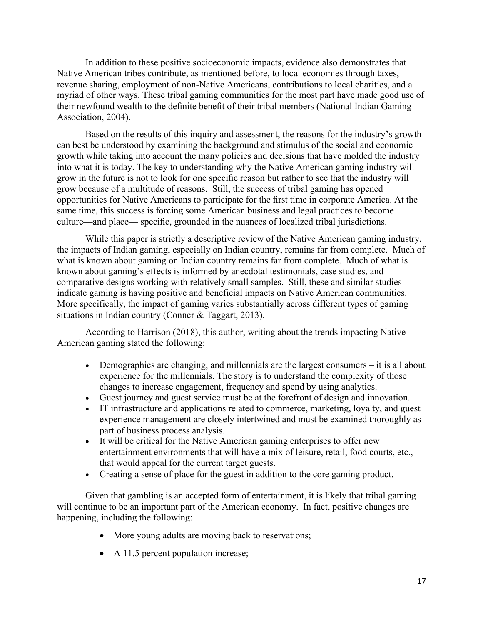In addition to these positive socioeconomic impacts, evidence also demonstrates that Native American tribes contribute, as mentioned before, to local economies through taxes, revenue sharing, employment of non-Native Americans, contributions to local charities, and a myriad of other ways. These tribal gaming communities for the most part have made good use of their newfound wealth to the definite benefit of their tribal members (National Indian Gaming Association, 2004).

Based on the results of this inquiry and assessment, the reasons for the industry's growth can best be understood by examining the background and stimulus of the social and economic growth while taking into account the many policies and decisions that have molded the industry into what it is today. The key to understanding why the Native American gaming industry will grow in the future is not to look for one specific reason but rather to see that the industry will grow because of a multitude of reasons. Still, the success of tribal gaming has opened opportunities for Native Americans to participate for the first time in corporate America. At the same time, this success is forcing some American business and legal practices to become culture—and place— specific, grounded in the nuances of localized tribal jurisdictions.

While this paper is strictly a descriptive review of the Native American gaming industry, the impacts of Indian gaming, especially on Indian country, remains far from complete. Much of what is known about gaming on Indian country remains far from complete. Much of what is known about gaming's effects is informed by anecdotal testimonials, case studies, and comparative designs working with relatively small samples. Still, these and similar studies indicate gaming is having positive and beneficial impacts on Native American communities. More specifically, the impact of gaming varies substantially across different types of gaming situations in Indian country (Conner & Taggart, 2013).

According to Harrison (2018), this author, writing about the trends impacting Native American gaming stated the following:

- Demographics are changing, and millennials are the largest consumers it is all about experience for the millennials. The story is to understand the complexity of those changes to increase engagement, frequency and spend by using analytics.
- Guest journey and guest service must be at the forefront of design and innovation.
- IT infrastructure and applications related to commerce, marketing, loyalty, and guest experience management are closely intertwined and must be examined thoroughly as part of business process analysis.
- It will be critical for the Native American gaming enterprises to offer new entertainment environments that will have a mix of leisure, retail, food courts, etc., that would appeal for the current target guests.
- Creating a sense of place for the guest in addition to the core gaming product.

Given that gambling is an accepted form of entertainment, it is likely that tribal gaming will continue to be an important part of the American economy. In fact, positive changes are happening, including the following:

- More young adults are moving back to reservations;
- A 11.5 percent population increase;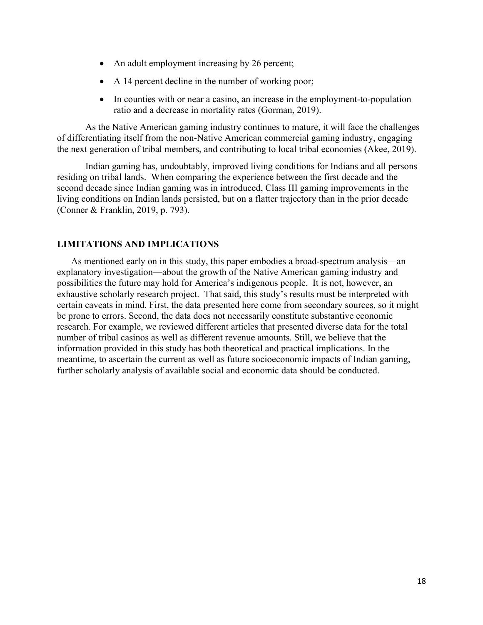- An adult employment increasing by 26 percent;
- A 14 percent decline in the number of working poor;
- In counties with or near a casino, an increase in the employment-to-population ratio and a decrease in mortality rates (Gorman, 2019).

As the Native American gaming industry continues to mature, it will face the challenges of differentiating itself from the non-Native American commercial gaming industry, engaging the next generation of tribal members, and contributing to local tribal economies (Akee, 2019).

Indian gaming has, undoubtably, improved living conditions for Indians and all persons residing on tribal lands. When comparing the experience between the first decade and the second decade since Indian gaming was in introduced, Class III gaming improvements in the living conditions on Indian lands persisted, but on a flatter trajectory than in the prior decade (Conner & Franklin, 2019, p. 793).

## **LIMITATIONS AND IMPLICATIONS**

As mentioned early on in this study, this paper embodies a broad-spectrum analysis—an explanatory investigation—about the growth of the Native American gaming industry and possibilities the future may hold for America's indigenous people. It is not, however, an exhaustive scholarly research project. That said, this study's results must be interpreted with certain caveats in mind. First, the data presented here come from secondary sources, so it might be prone to errors. Second, the data does not necessarily constitute substantive economic research. For example, we reviewed different articles that presented diverse data for the total number of tribal casinos as well as different revenue amounts. Still, we believe that the information provided in this study has both theoretical and practical implications. In the meantime, to ascertain the current as well as future socioeconomic impacts of Indian gaming, further scholarly analysis of available social and economic data should be conducted.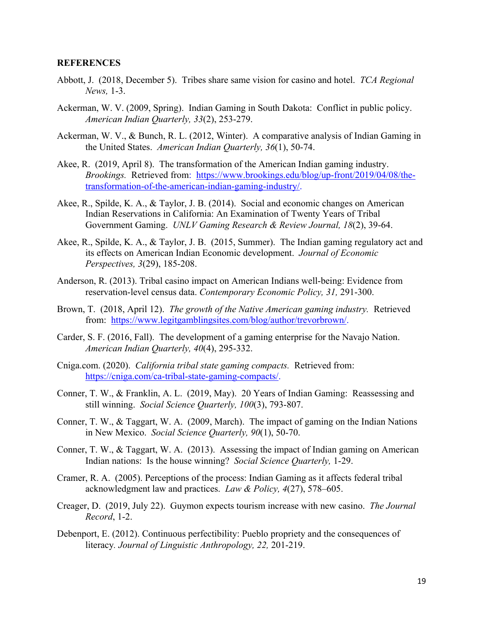## **REFERENCES**

- Abbott, J. (2018, December 5). Tribes share same vision for casino and hotel. *TCA Regional News,* 1-3.
- Ackerman, W. V. (2009, Spring). Indian Gaming in South Dakota: Conflict in public policy. *American Indian Quarterly, 33*(2), 253-279.
- Ackerman, W. V., & Bunch, R. L. (2012, Winter). A comparative analysis of Indian Gaming in the United States. *American Indian Quarterly, 36*(1), 50-74.
- Akee, R. (2019, April 8). The transformation of the American Indian gaming industry. *Brookings.* Retrieved from: https://www.brookings.edu/blog/up-front/2019/04/08/thetransformation-of-the-american-indian-gaming-industry/.
- Akee, R., Spilde, K. A., & Taylor, J. B. (2014). Social and economic changes on American Indian Reservations in California: An Examination of Twenty Years of Tribal Government Gaming. *UNLV Gaming Research & Review Journal, 18*(2), 39-64.
- Akee, R., Spilde, K. A., & Taylor, J. B. (2015, Summer). The Indian gaming regulatory act and its effects on American Indian Economic development. *Journal of Economic Perspectives, 3*(29), 185-208.
- Anderson, R. (2013). Tribal casino impact on American Indians well-being: Evidence from reservation-level census data. *Contemporary Economic Policy, 31,* 291-300.
- Brown, T. (2018, April 12). *The growth of the Native American gaming industry.* Retrieved from: https://www.legitgamblingsites.com/blog/author/trevorbrown/.
- Carder, S. F. (2016, Fall). The development of a gaming enterprise for the Navajo Nation. *American Indian Quarterly, 40*(4), 295-332.
- Cniga.com. (2020). *California tribal state gaming compacts.* Retrieved from: https://cniga.com/ca-tribal-state-gaming-compacts/.
- Conner, T. W., & Franklin, A. L. (2019, May). 20 Years of Indian Gaming: Reassessing and still winning. *Social Science Quarterly, 100*(3), 793-807.
- Conner, T. W., & Taggart, W. A. (2009, March). The impact of gaming on the Indian Nations in New Mexico. *Social Science Quarterly, 90*(1), 50-70.
- Conner, T. W., & Taggart, W. A. (2013). Assessing the impact of Indian gaming on American Indian nations: Is the house winning? *Social Science Quarterly,* 1-29.
- Cramer, R. A. (2005). Perceptions of the process: Indian Gaming as it affects federal tribal acknowledgment law and practices. *Law & Policy, 4*(27), 578–605.
- Creager, D. (2019, July 22). Guymon expects tourism increase with new casino. *The Journal Record*, 1-2.
- Debenport, E. (2012). Continuous perfectibility: Pueblo propriety and the consequences of literacy*. Journal of Linguistic Anthropology, 22,* 201-219.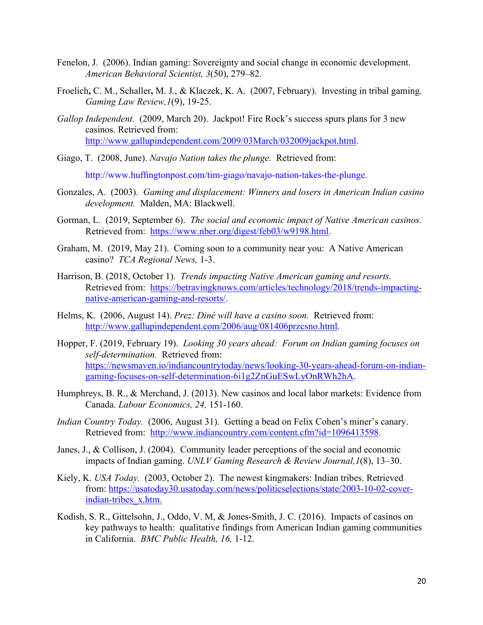- Fenelon, J. (2006). Indian gaming: Sovereignty and social change in economic development. *American Behavioral Scientist, 3*(50), 279–82.
- Froelich**,** C. M., Schaller**,** M. J., & Klaczek, K. A. (2007, February). Investing in tribal gaming. *Gaming Law Review,1*(9), 19-25.
- *Gallop Independent.* (2009, March 20). Jackpot! Fire Rock's success spurs plans for 3 new casinos. Retrieved from: http://www.gallupindependent.com/2009/03March/032009jackpot.html.
- Giago, T. (2008, June). *Navajo Nation takes the plunge.* Retrieved from:

http://www.huffingtonpost.com/tim-giago/navajo-nation-takes-the-plunge.

- Gonzales, A. (2003). *Gaming and displacement: Winners and losers in American Indian casino development.* Malden, MA: Blackwell.
- Gorman, L. (2019, September 6). *The social and economic impact of Native American casinos.* Retrieved from: https://www.nber.org/digest/feb03/w9198.html.
- Graham, M. (2019, May 21). Coming soon to a community near you: A Native American casino? *TCA Regional News,* 1-3.
- Harrison, B. (2018, October 1). *Trends impacting Native American gaming and resorts.* Retrieved from: https://betravingknows.com/articles/technology/2018/trends-impactingnative-american-gaming-and-resorts/.
- Helms, K. (2006, August 14). *Prez: Diné will have a casino soon.* Retrieved from: http://www.gallupindependent.com/2006/aug/081406przcsno.html.
- Hopper, F. (2019, February 19). *Looking 30 years ahead: Forum on Indian gaming focuses on self-determination.* Retrieved from: https://newsmaven.io/indiancountrytoday/news/looking-30-years-ahead-forum-on-indiangaming-focuses-on-self-determination-6i1g2ZnGuESwLyOnRWh2hA.
- Humphreys, B. R., & Merchand, J. (2013). New casinos and local labor markets: Evidence from Canada. *Labour Economics, 24,* 151-160.
- *Indian Country Today.* (2006, August 31). Getting a bead on Felix Cohen's miner's canary. Retrieved from: http://www.indiancountry.com/content.cfm?id=1096413598.
- Janes, J., & Collison, J. (2004). Community leader perceptions of the social and economic impacts of Indian gaming. *UNLV Gaming Research & Review Journal,1*(8), 13–30.
- Kiely, K. *USA Today.* (2003, October 2). The newest kingmakers: Indian tribes. Retrieved from: https://usatoday30.usatoday.com/news/politicselections/state/2003-10-02-coverindian-tribes\_x.htm.
- Kodish, S. R., Gittelsohn, J., Oddo, V. M, & Jones-Smith, J. C. (2016). Impacts of casinos on key pathways to health: qualitative findings from American Indian gaming communities in California. *BMC Public Health, 16,* 1-12.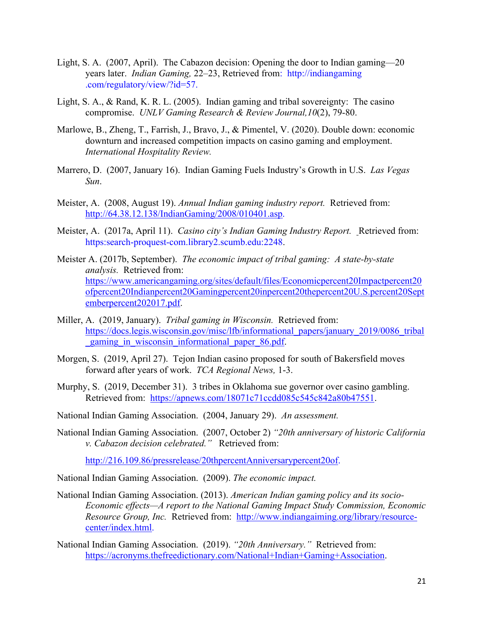- Light, S. A. (2007, April). The Cabazon decision: Opening the door to Indian gaming—20 years later. *Indian Gaming,* 22–23, Retrieved from: http://indiangaming .com/regulatory/view/?id=57.
- Light, S. A., & Rand, K. R. L. (2005). Indian gaming and tribal sovereignty: The casino compromise. *UNLV Gaming Research & Review Journal,10*(2), 79-80.
- Marlowe, B., Zheng, T., Farrish, J., Bravo, J., & Pimentel, V. (2020). Double down: economic downturn and increased competition impacts on casino gaming and employment. *International Hospitality Review.*
- Marrero, D. (2007, January 16). Indian Gaming Fuels Industry's Growth in U.S. *Las Vegas Sun*.
- Meister, A. (2008, August 19). *Annual Indian gaming industry report.* Retrieved from: http://64.38.12.138/IndianGaming/2008/010401.asp.
- Meister, A. (2017a, April 11). *Casino city's Indian Gaming Industry Report.* Retrieved from: https:search-proquest-com.library2.scumb.edu:2248.
- Meister A. (2017b, September). *The economic impact of tribal gaming: A state-by-state analysis.* Retrieved from: https://www.americangaming.org/sites/default/files/Economicpercent20Impactpercent20 ofpercent20Indianpercent20Gamingpercent20inpercent20thepercent20U.S.percent20Sept emberpercent202017.pdf.
- Miller, A. (2019, January). *Tribal gaming in Wisconsin.* Retrieved from: https://docs.legis.wisconsin.gov/misc/lfb/informational\_papers/january\_2019/0086\_tribal gaming in wisconsin informational paper 86.pdf.
- Morgen, S. (2019, April 27). Tejon Indian casino proposed for south of Bakersfield moves forward after years of work. *TCA Regional News,* 1-3.
- Murphy, S. (2019, December 31). 3 tribes in Oklahoma sue governor over casino gambling. Retrieved from: https://apnews.com/18071c71ccdd085c545c842a80b47551.
- National Indian Gaming Association. (2004, January 29). *An assessment.*
- National Indian Gaming Association. (2007, October 2) *"20th anniversary of historic California v. Cabazon decision celebrated."* Retrieved from:

http://216.109.86/pressrelease/20thpercentAnniversarypercent20of.

National Indian Gaming Association. (2009). *The economic impact.* 

- National Indian Gaming Association. (2013). *American Indian gaming policy and its socio-Economic effects—A report to the National Gaming Impact Study Commission, Economic Resource Group, Inc.* Retrieved from: http://www.indiangaiming.org/library/resourcecenter/index.html.
- National Indian Gaming Association. (2019). *"20th Anniversary."* Retrieved from: https://acronyms.thefreedictionary.com/National+Indian+Gaming+Association.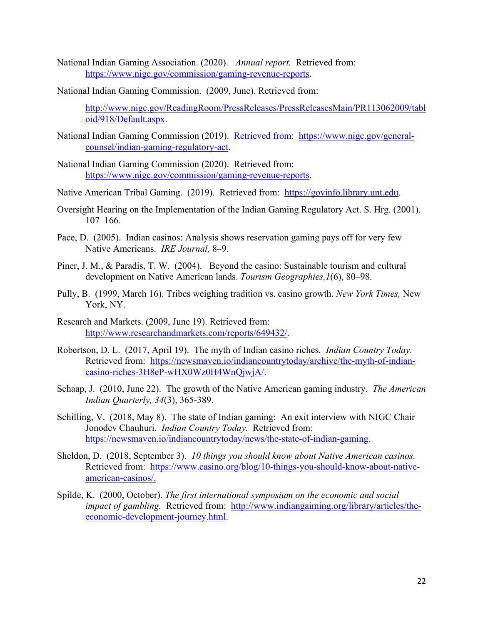- National Indian Gaming Association. (2020). *Annual report.* Retrieved from: https://www.nigc.gov/commission/gaming-revenue-reports.
- National Indian Gaming Commission. (2009, June). Retrieved from:

http://www.nigc.gov/ReadingRoom/PressReleases/PressReleasesMain/PR113062009/tabl oid/918/Default.aspx.

- National Indian Gaming Commission (2019). Retrieved from: https://www.nigc.gov/generalcounsel/indian-gaming-regulatory-act.
- National Indian Gaming Commission (2020). Retrieved from: https://www.nigc.gov/commission/gaming-revenue-reports.
- Native American Tribal Gaming. (2019). Retrieved from: https://govinfo.library.unt.edu.
- Oversight Hearing on the Implementation of the Indian Gaming Regulatory Act. S. Hrg. (2001). 107–166.
- Pace, D. (2005). Indian casinos: Analysis shows reservation gaming pays off for very few Native Americans. *IRE Journal,* 8–9.
- Piner, J. M., & Paradis, T. W. (2004). Beyond the casino: Sustainable tourism and cultural development on Native American lands. *Tourism Geographies,1*(6), 80–98.
- Pully, B. (1999, March 16). Tribes weighing tradition vs. casino growth. *New York Times,* New York, NY.
- Research and Markets. (2009, June 19). Retrieved from: http://www.researchandmarkets.com/reports/649432/.
- Robertson, D. L. (2017, April 19). The myth of Indian casino riches*. Indian Country Today.* Retrieved from: https://newsmaven.io/indiancountrytoday/archive/the-myth-of-indiancasino-riches-3H8eP-wHX0Wz0H4WnQjwjA/.
- Schaap, J. (2010, June 22). The growth of the Native American gaming industry. *The American Indian Quarterly, 34*(3), 365-389.
- Schilling, V. (2018, May 8). The state of Indian gaming: An exit interview with NIGC Chair Jonodev Chauhuri. *Indian Country Today.* Retrieved from: https://newsmaven.io/indiancountrytoday/news/the-state-of-indian-gaming.
- Sheldon, D. (2018, September 3). *10 things you should know about Native American casinos.* Retrieved from: https://www.casino.org/blog/10-things-you-should-know-about-nativeamerican-casinos/.
- Spilde, K. (2000, October). *The first international symposium on the economic and social impact of gambling.* Retrieved from: http://www.indiangaiming.org/library/articles/theeconomic-development-journey.html.